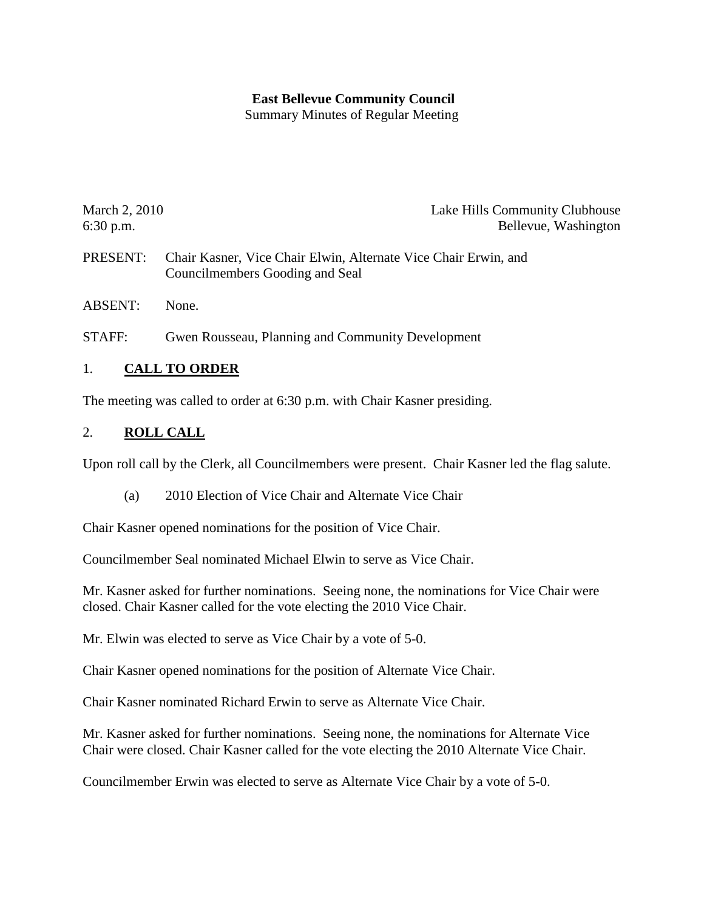#### **East Bellevue Community Council**

Summary Minutes of Regular Meeting

| March 2, 2010 | Lake Hills Community Clubhouse |
|---------------|--------------------------------|
| $6:30$ p.m.   | Bellevue, Washington           |

- PRESENT: Chair Kasner, Vice Chair Elwin, Alternate Vice Chair Erwin, and Councilmembers Gooding and Seal
- ABSENT: None.
- STAFF: Gwen Rousseau, Planning and Community Development

#### 1. **CALL TO ORDER**

The meeting was called to order at 6:30 p.m. with Chair Kasner presiding.

#### 2. **ROLL CALL**

Upon roll call by the Clerk, all Councilmembers were present. Chair Kasner led the flag salute.

(a) 2010 Election of Vice Chair and Alternate Vice Chair

Chair Kasner opened nominations for the position of Vice Chair.

Councilmember Seal nominated Michael Elwin to serve as Vice Chair.

Mr. Kasner asked for further nominations. Seeing none, the nominations for Vice Chair were closed. Chair Kasner called for the vote electing the 2010 Vice Chair.

Mr. Elwin was elected to serve as Vice Chair by a vote of 5-0.

Chair Kasner opened nominations for the position of Alternate Vice Chair.

Chair Kasner nominated Richard Erwin to serve as Alternate Vice Chair.

Mr. Kasner asked for further nominations. Seeing none, the nominations for Alternate Vice Chair were closed. Chair Kasner called for the vote electing the 2010 Alternate Vice Chair.

Councilmember Erwin was elected to serve as Alternate Vice Chair by a vote of 5-0.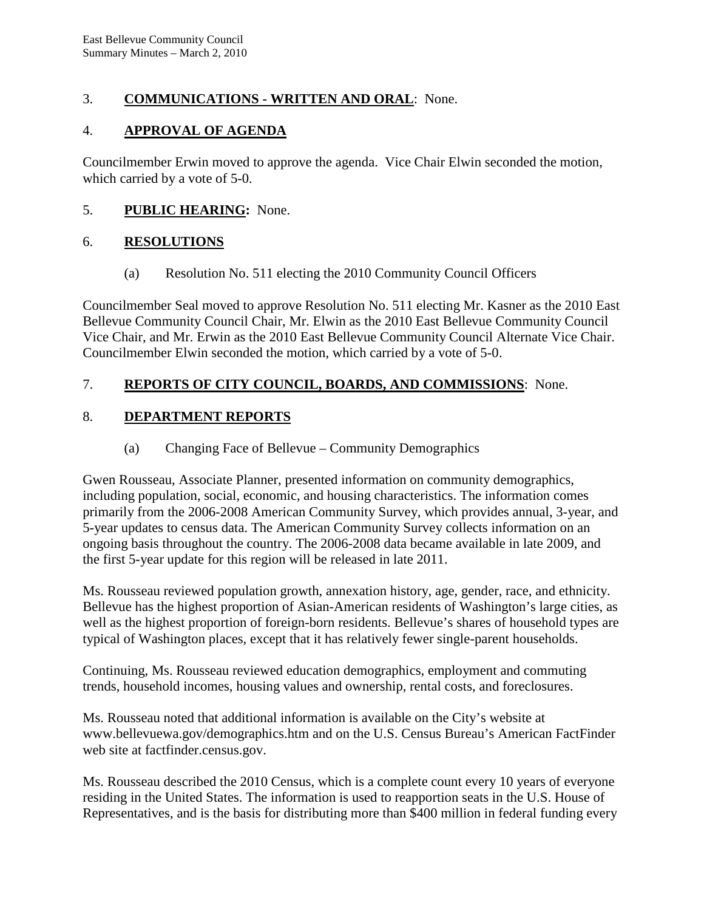## 3. **COMMUNICATIONS - WRITTEN AND ORAL**: None.

### 4. **APPROVAL OF AGENDA**

Councilmember Erwin moved to approve the agenda. Vice Chair Elwin seconded the motion, which carried by a vote of 5-0.

## 5. **PUBLIC HEARING:** None.

#### 6. **RESOLUTIONS**

(a) Resolution No. 511 electing the 2010 Community Council Officers

Councilmember Seal moved to approve Resolution No. 511 electing Mr. Kasner as the 2010 East Bellevue Community Council Chair, Mr. Elwin as the 2010 East Bellevue Community Council Vice Chair, and Mr. Erwin as the 2010 East Bellevue Community Council Alternate Vice Chair. Councilmember Elwin seconded the motion, which carried by a vote of 5-0.

## 7. **REPORTS OF CITY COUNCIL, BOARDS, AND COMMISSIONS**: None.

# 8. **DEPARTMENT REPORTS**

### (a) Changing Face of Bellevue – Community Demographics

Gwen Rousseau, Associate Planner, presented information on community demographics, including population, social, economic, and housing characteristics. The information comes primarily from the 2006-2008 American Community Survey, which provides annual, 3-year, and 5-year updates to census data. The American Community Survey collects information on an ongoing basis throughout the country. The 2006-2008 data became available in late 2009, and the first 5-year update for this region will be released in late 2011.

Ms. Rousseau reviewed population growth, annexation history, age, gender, race, and ethnicity. Bellevue has the highest proportion of Asian-American residents of Washington's large cities, as well as the highest proportion of foreign-born residents. Bellevue's shares of household types are typical of Washington places, except that it has relatively fewer single-parent households.

Continuing, Ms. Rousseau reviewed education demographics, employment and commuting trends, household incomes, housing values and ownership, rental costs, and foreclosures.

Ms. Rousseau noted that additional information is available on the City's website at www.bellevuewa.gov/demographics.htm and on the U.S. Census Bureau's American FactFinder web site at factfinder.census.gov.

Ms. Rousseau described the 2010 Census, which is a complete count every 10 years of everyone residing in the United States. The information is used to reapportion seats in the U.S. House of Representatives, and is the basis for distributing more than \$400 million in federal funding every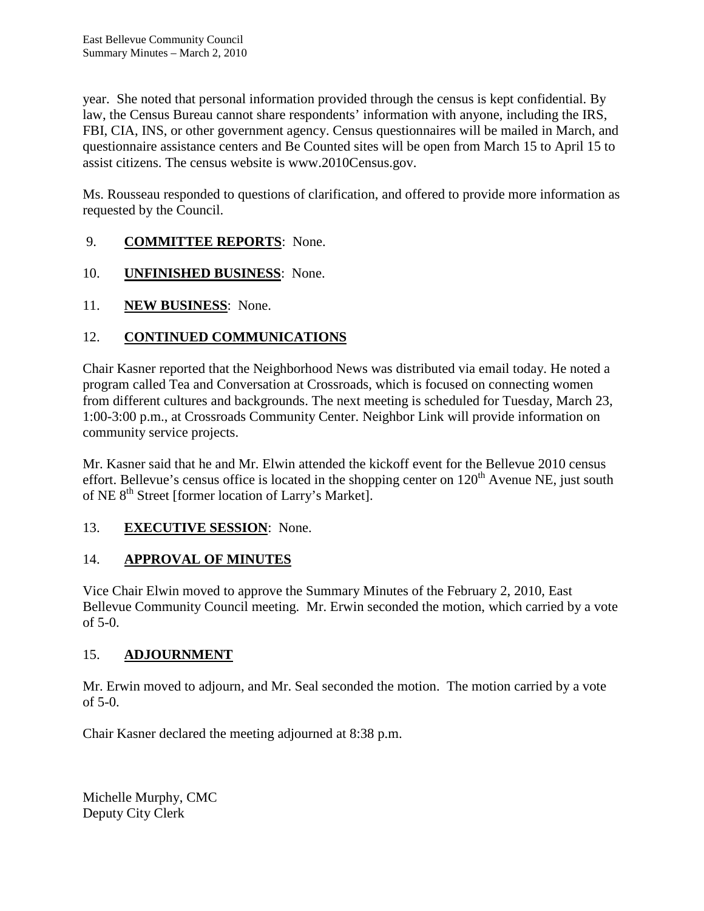year. She noted that personal information provided through the census is kept confidential. By law, the Census Bureau cannot share respondents' information with anyone, including the IRS, FBI, CIA, INS, or other government agency. Census questionnaires will be mailed in March, and questionnaire assistance centers and Be Counted sites will be open from March 15 to April 15 to assist citizens. The census website is www.2010Census.gov.

Ms. Rousseau responded to questions of clarification, and offered to provide more information as requested by the Council.

## 9. **COMMITTEE REPORTS**: None.

- 10. **UNFINISHED BUSINESS**: None.
- 11. **NEW BUSINESS**: None.

# 12. **CONTINUED COMMUNICATIONS**

Chair Kasner reported that the Neighborhood News was distributed via email today. He noted a program called Tea and Conversation at Crossroads, which is focused on connecting women from different cultures and backgrounds. The next meeting is scheduled for Tuesday, March 23, 1:00-3:00 p.m., at Crossroads Community Center. Neighbor Link will provide information on community service projects.

Mr. Kasner said that he and Mr. Elwin attended the kickoff event for the Bellevue 2010 census effort. Bellevue's census office is located in the shopping center on  $120<sup>th</sup>$  Avenue NE, just south of NE 8<sup>th</sup> Street [former location of Larry's Market].

### 13. **EXECUTIVE SESSION**: None.

# 14. **APPROVAL OF MINUTES**

Vice Chair Elwin moved to approve the Summary Minutes of the February 2, 2010, East Bellevue Community Council meeting. Mr. Erwin seconded the motion, which carried by a vote of 5-0.

# 15. **ADJOURNMENT**

Mr. Erwin moved to adjourn, and Mr. Seal seconded the motion. The motion carried by a vote of 5-0.

Chair Kasner declared the meeting adjourned at 8:38 p.m.

Michelle Murphy, CMC Deputy City Clerk